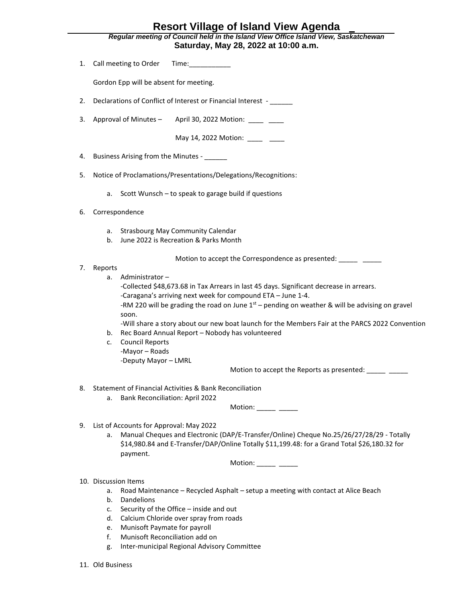## **Resort Village of Island View Agenda**

*Regular meeting of Council held in the Island View Office Island View, Saskatchewan* **Saturday, May 28, 2022 at 10:00 a.m.**

| 1. | Call meeting to Order<br>Time: the contract of the contract of the contract of the contract of the contract of the contract of the contract of the contract of the contract of the contract of the contract of the contract of the contract of the cont                                                                                                                                                                                                                                                                                                                                                |
|----|--------------------------------------------------------------------------------------------------------------------------------------------------------------------------------------------------------------------------------------------------------------------------------------------------------------------------------------------------------------------------------------------------------------------------------------------------------------------------------------------------------------------------------------------------------------------------------------------------------|
|    | Gordon Epp will be absent for meeting.                                                                                                                                                                                                                                                                                                                                                                                                                                                                                                                                                                 |
| 2. | Declarations of Conflict of Interest or Financial Interest -                                                                                                                                                                                                                                                                                                                                                                                                                                                                                                                                           |
| 3. | Approval of Minutes -<br>April 30, 2022 Motion: _____ ____                                                                                                                                                                                                                                                                                                                                                                                                                                                                                                                                             |
|    | May 14, 2022 Motion: _____ ____                                                                                                                                                                                                                                                                                                                                                                                                                                                                                                                                                                        |
| 4. | Business Arising from the Minutes - ______                                                                                                                                                                                                                                                                                                                                                                                                                                                                                                                                                             |
| 5. | Notice of Proclamations/Presentations/Delegations/Recognitions:                                                                                                                                                                                                                                                                                                                                                                                                                                                                                                                                        |
|    | Scott Wunsch - to speak to garage build if questions<br>a.                                                                                                                                                                                                                                                                                                                                                                                                                                                                                                                                             |
| 6. | Correspondence                                                                                                                                                                                                                                                                                                                                                                                                                                                                                                                                                                                         |
|    | <b>Strasbourg May Community Calendar</b><br>а.<br>June 2022 is Recreation & Parks Month<br>b.                                                                                                                                                                                                                                                                                                                                                                                                                                                                                                          |
| 7. | Motion to accept the Correspondence as presented: _____ ____                                                                                                                                                                                                                                                                                                                                                                                                                                                                                                                                           |
|    | Reports<br>Administrator-<br>a.<br>-Collected \$48,673.68 in Tax Arrears in last 45 days. Significant decrease in arrears.<br>-Caragana's arriving next week for compound ETA - June 1-4.<br>-RM 220 will be grading the road on June $1st$ – pending on weather & will be advising on gravel<br>soon.<br>-Will share a story about our new boat launch for the Members Fair at the PARCS 2022 Convention<br>Rec Board Annual Report - Nobody has volunteered<br>b.<br><b>Council Reports</b><br>c.<br>-Mayor - Roads<br>-Deputy Mayor - LMRL<br>Motion to accept the Reports as presented: _____ ____ |
| 8. | Statement of Financial Activities & Bank Reconciliation<br><b>Bank Reconciliation: April 2022</b><br>а.<br>Motion: $\frac{\ }{\ }$                                                                                                                                                                                                                                                                                                                                                                                                                                                                     |
| 9. | List of Accounts for Approval: May 2022<br>Manual Cheques and Electronic (DAP/E-Transfer/Online) Cheque No.25/26/27/28/29 - Totally<br>a.<br>\$14,980.84 and E-Transfer/DAP/Online Totally \$11,199.48: for a Grand Total \$26,180.32 for<br>payment.<br>Motion: $\frac{\ }{\ }$                                                                                                                                                                                                                                                                                                                       |
|    | 10. Discussion Items<br>Road Maintenance - Recycled Asphalt - setup a meeting with contact at Alice Beach<br>а.<br>Dandelions<br>b.<br>Security of the Office - inside and out<br>c.<br>Calcium Chloride over spray from roads<br>d.<br>Munisoft Paymate for payroll<br>e.<br>Munisoft Reconciliation add on<br>f.<br>Inter-municipal Regional Advisory Committee<br>g.                                                                                                                                                                                                                                |

11. Old Business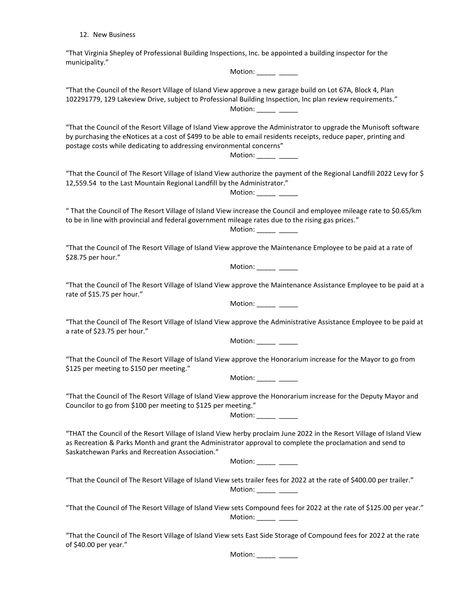12. New Business

"That Virginia Shepley of Professional Building Inspections, Inc. be appointed a building inspector for the municipality."

Motion: \_\_\_\_\_\_ \_\_\_\_\_ "That the Council of the Resort Village of Island View approve a new garage build on Lot 67A, Block 4, Plan 102291779, 129 Lakeview Drive, subject to Professional Building Inspection, Inc plan review requirements." Motion:  $\frac{\ }{\ }$ "That the Council of the Resort Village of Island View approve the Administrator to upgrade the Munisoft software by purchasing the eNotices at a cost of \$499 to be able to email residents receipts, reduce paper, printing and postage costs while dedicating to addressing environmental concerns" Motion: \_\_\_\_\_\_ \_\_ "That the Council of The Resort Village of Island View authorize the payment of the Regional Landfill 2022 Levy for \$ 12,559.54 to the Last Mountain Regional Landfill by the Administrator." Motion: \_\_\_\_\_\_ \_\_\_\_\_ " That the Council of The Resort Village of Island View increase the Council and employee mileage rate to \$0.65/km to be in line with provincial and federal government mileage rates due to the rising gas prices." Motion: \_\_\_\_\_\_ \_\_\_\_\_ "That the Council of The Resort Village of Island View approve the Maintenance Employee to be paid at a rate of \$28.75 per hour." Motion: \_\_\_\_\_\_ \_\_\_\_\_ "That the Council of The Resort Village of Island View approve the Maintenance Assistance Employee to be paid at a rate of \$15.75 per hour." Motion: \_\_\_\_\_\_ \_\_\_\_\_ "That the Council of The Resort Village of Island View approve the Administrative Assistance Employee to be paid at a rate of \$23.75 per hour." Motion: \_\_\_\_\_\_ \_\_\_\_\_ "That the Council of The Resort Village of Island View approve the Honorarium increase for the Mayor to go from \$125 per meeting to \$150 per meeting." Motion: \_\_\_\_\_\_ \_\_\_\_\_ "That the Council of The Resort Village of Island View approve the Honorarium increase for the Deputy Mayor and Councilor to go from \$100 per meeting to \$125 per meeting." Motion:  $\frac{\ }{\ }$ "THAT the Council of the Resort Village of Island View herby proclaim June 2022 in the Resort Village of Island View as Recreation & Parks Month and grant the Administrator approval to complete the proclamation and send to Saskatchewan Parks and Recreation Association." Motion: \_\_\_\_\_\_ \_\_\_ "That the Council of The Resort Village of Island View sets trailer fees for 2022 at the rate of \$400.00 per trailer."

"That the Council of The Resort Village of Island View sets Compound fees for 2022 at the rate of \$125.00 per year." Motion:

Motion:  $\frac{\ }{\ }$ 

"That the Council of The Resort Village of Island View sets East Side Storage of Compound fees for 2022 at the rate of \$40.00 per year."

Motion: \_\_\_\_\_\_ \_\_\_\_\_